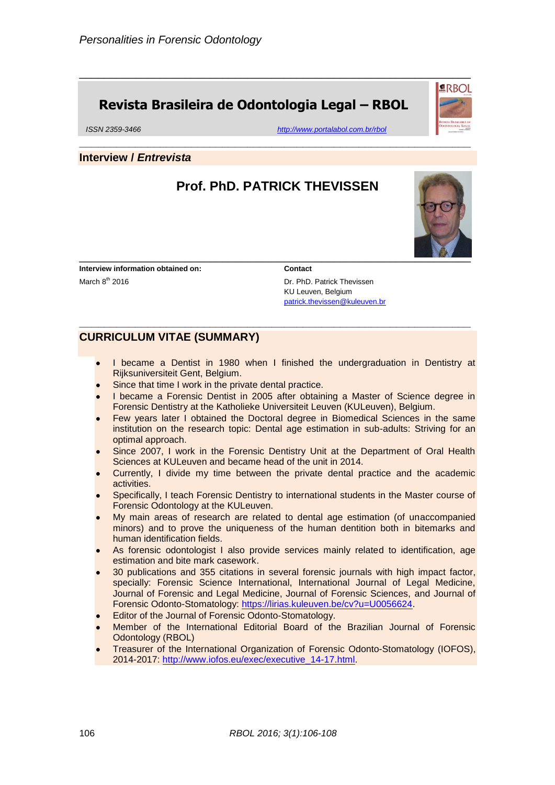### **Revista Brasileira de Odontologia Legal – RBOL**

*ISSN 2359-3466 <http://www.portalabol.com.br/rbol>*

#### **Interview /** *Entrevista*

#### **Prof. PhD. PATRICK THEVISSEN**

\_\_\_\_\_\_\_\_\_\_\_\_\_\_\_\_\_\_\_\_\_\_\_\_\_\_\_\_\_\_\_\_\_\_\_\_\_\_\_\_\_\_\_\_\_\_\_\_\_\_\_\_\_\_\_\_\_\_\_\_\_\_\_

**\_\_\_\_\_\_\_\_\_\_\_\_\_\_\_\_\_\_\_\_\_\_\_\_\_\_\_\_\_\_\_\_\_\_\_\_\_\_\_\_\_\_\_\_\_\_\_\_\_\_\_\_\_\_\_\_\_\_\_\_\_\_\_**

**\_\_\_\_\_\_\_\_\_\_\_\_\_\_\_\_\_\_\_\_\_\_\_\_\_\_\_\_\_\_\_\_\_\_\_\_\_\_\_\_\_\_\_\_\_\_\_\_\_\_\_\_\_\_\_\_\_\_\_\_\_\_\_**

\_\_\_\_\_\_\_\_\_\_\_\_\_\_\_\_\_\_\_\_\_\_\_\_\_\_\_\_\_\_\_\_\_\_\_\_\_\_\_\_\_\_\_\_\_\_\_\_\_\_\_\_\_\_\_\_\_\_\_\_\_\_\_

**Interview information obtained on:** March 8<sup>th</sup> 2016

#### **Contact**

Dr. PhD. Patrick Thevissen KU Leuven, Belgium [patrick.thevissen@kuleuven.br](mailto:patrick.thevissen@kuleuven.br)

#### **CURRICULUM VITAE (SUMMARY)**

- I became a Dentist in 1980 when I finished the undergraduation in Dentistry at Rijksuniversiteit Gent, Belgium.
- Since that time I work in the private dental practice.
- I became a Forensic Dentist in 2005 after obtaining a Master of Science degree in Forensic Dentistry at the Katholieke Universiteit Leuven (KULeuven), Belgium.
- Few years later I obtained the Doctoral degree in Biomedical Sciences in the same institution on the research topic: Dental age estimation in sub-adults: Striving for an optimal approach.
- Since 2007, I work in the Forensic Dentistry Unit at the Department of Oral Health Sciences at KULeuven and became head of the unit in 2014.
- Currently, I divide my time between the private dental practice and the academic activities.
- Specifically, I teach Forensic Dentistry to international students in the Master course of Forensic Odontology at the KULeuven.
- My main areas of research are related to dental age estimation (of unaccompanied minors) and to prove the uniqueness of the human dentition both in bitemarks and human identification fields.
- As forensic odontologist I also provide services mainly related to identification, age estimation and bite mark casework.
- 30 publications and 355 citations in several forensic journals with high impact factor, specially: Forensic Science International, International Journal of Legal Medicine, Journal of Forensic and Legal Medicine, Journal of Forensic Sciences, and Journal of Forensic Odonto-Stomatology: [https://lirias.kuleuven.be/cv?u=U0056624.](https://lirias.kuleuven.be/cv?u=U0056624)
- Editor of the Journal of Forensic Odonto-Stomatology.
- Member of the International Editorial Board of the Brazilian Journal of Forensic Odontology (RBOL)
- Treasurer of the International Organization of Forensic Odonto-Stomatology (IOFOS), 2014-2017: [http://www.iofos.eu/exec/executive\\_14-17.html.](http://www.iofos.eu/exec/executive_14-17.html)

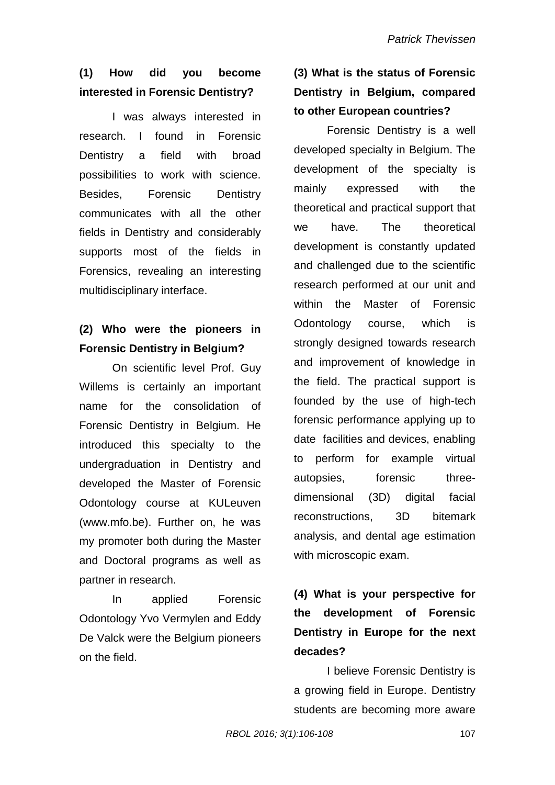# **(1) How did you become interested in Forensic Dentistry?**

I was always interested in research. I found in Forensic Dentistry a field with broad possibilities to work with science. Besides, Forensic Dentistry communicates with all the other fields in Dentistry and considerably supports most of the fields in Forensics, revealing an interesting multidisciplinary interface.

## **(2) Who were the pioneers in Forensic Dentistry in Belgium?**

On scientific level Prof. Guy Willems is certainly an important name for the consolidation of Forensic Dentistry in Belgium. He introduced this specialty to the undergraduation in Dentistry and developed the Master of Forensic Odontology course at KULeuven (www.mfo.be). Further on, he was my promoter both during the Master and Doctoral programs as well as partner in research.

In applied Forensic Odontology Yvo Vermylen and Eddy De Valck were the Belgium pioneers on the field.

# **(3) What is the status of Forensic Dentistry in Belgium, compared to other European countries?**

Forensic Dentistry is a well developed specialty in Belgium. The development of the specialty is mainly expressed with the theoretical and practical support that we have. The theoretical development is constantly updated and challenged due to the scientific research performed at our unit and within the Master of Forensic Odontology course, which is strongly designed towards research and improvement of knowledge in the field. The practical support is founded by the use of high-tech forensic performance applying up to date facilities and devices, enabling to perform for example virtual autopsies, forensic threedimensional (3D) digital facial reconstructions, 3D bitemark analysis, and dental age estimation with microscopic exam.

# **(4) What is your perspective for the development of Forensic Dentistry in Europe for the next decades?**

I believe Forensic Dentistry is a growing field in Europe. Dentistry students are becoming more aware